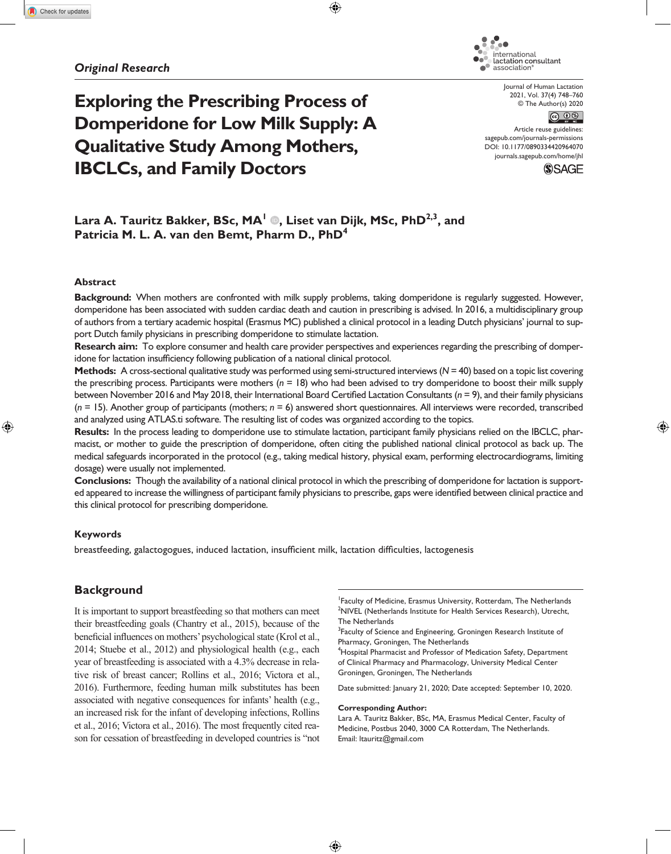*Original Research*

**Exploring the Prescribing Process of Domperidone for Low Milk Supply: A Qualitative Study Among Mothers, IBCLCs, and Family Doctors**



Journal of Human Lactation 2021, Vol. 37(4) 748–760 © The Author(s) 2020

 $\circledcirc$   $\circledcirc$ 

Article reuse guidelines: sagepub.com/journals-permissions DOI: 10.1177/0890334420964070 journals.sagepub.com/home/jhl



⊕

# **Lara A. Tauritz Bakker, BSc, MA<sup>1</sup> ©, Liset van Dijk, MSc, PhD<sup>2,3</sup>, and Patricia M. L. A. van den Bemt, Pharm D., PhD4**

### **Abstract**

**Background:** When mothers are confronted with milk supply problems, taking domperidone is regularly suggested. However, domperidone has been associated with sudden cardiac death and caution in prescribing is advised. In 2016, a multidisciplinary group of authors from a tertiary academic hospital (Erasmus MC) published a clinical protocol in a leading Dutch physicians' journal to support Dutch family physicians in prescribing domperidone to stimulate lactation.

**Research aim:** To explore consumer and health care provider perspectives and experiences regarding the prescribing of domperidone for lactation insufficiency following publication of a national clinical protocol.

**Methods:** A cross-sectional qualitative study was performed using semi-structured interviews (*N* = 40) based on a topic list covering the prescribing process. Participants were mothers (*n* = 18) who had been advised to try domperidone to boost their milk supply between November 2016 and May 2018, their International Board Certified Lactation Consultants ( $n = 9$ ), and their family physicians (*n* = 15). Another group of participants (mothers; *n* = 6) answered short questionnaires. All interviews were recorded, transcribed and analyzed using ATLAS.ti software. The resulting list of codes was organized according to the topics.

**Results:** In the process leading to domperidone use to stimulate lactation, participant family physicians relied on the IBCLC, pharmacist, or mother to guide the prescription of domperidone, often citing the published national clinical protocol as back up. The medical safeguards incorporated in the protocol (e.g., taking medical history, physical exam, performing electrocardiograms, limiting dosage) were usually not implemented.

**Conclusions:** Though the availability of a national clinical protocol in which the prescribing of domperidone for lactation is supported appeared to increase the willingness of participant family physicians to prescribe, gaps were identified between clinical practice and this clinical protocol for prescribing domperidone.

# **Keywords**

⊕

breastfeeding, galactogogues, induced lactation, insufficient milk, lactation difficulties, lactogenesis

# **Background**

It is important to support breastfeeding so that mothers can meet their breastfeeding goals (Chantry et al., 2015), because of the beneficial influences on mothers' psychological state (Krol et al., 2014; Stuebe et al., 2012) and physiological health (e.g., each year of breastfeeding is associated with a 4.3% decrease in relative risk of breast cancer; Rollins et al., 2016; Victora et al., 2016). Furthermore, feeding human milk substitutes has been associated with negative consequences for infants' health (e.g., an increased risk for the infant of developing infections, Rollins et al., 2016; Victora et al., 2016). The most frequently cited reason for cessation of breastfeeding in developed countries is "not

1 Faculty of Medicine, Erasmus University, Rotterdam, The Netherlands <sup>2</sup>NIVEL (Netherlands Institute for Health Services Research), Utrecht, The Netherlands

<sup>3</sup>Faculty of Science and Engineering, Groningen Research Institute of Pharmacy, Groningen, The Netherlands

<sup>4</sup>Hospital Pharmacist and Professor of Medication Safety, Department of Clinical Pharmacy and Pharmacology, University Medical Center Groningen, Groningen, The Netherlands

Date submitted: January 21, 2020; Date accepted: September 10, 2020.

#### **Corresponding Author:**

 $\bigoplus$ 

Lara A. Tauritz Bakker, BSc, MA, Erasmus Medical Center, Faculty of Medicine, Postbus 2040, 3000 CA Rotterdam, The Netherlands. Email: ltauritz@gmail.com

 $\bigoplus$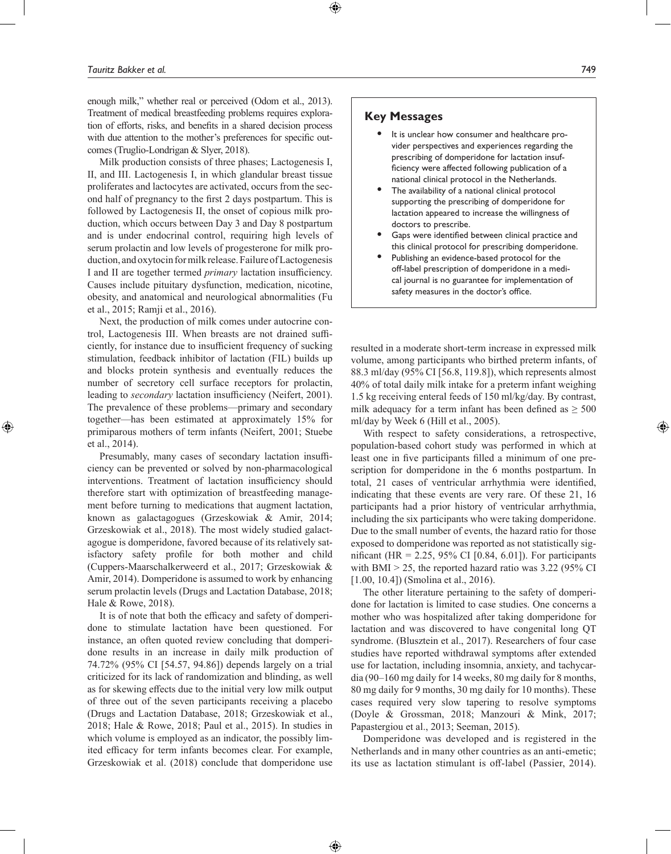enough milk," whether real or perceived (Odom et al., 2013). Treatment of medical breastfeeding problems requires exploration of efforts, risks, and benefits in a shared decision process with due attention to the mother's preferences for specific outcomes (Truglio-Londrigan & Slyer, 2018).

Milk production consists of three phases; Lactogenesis I, II, and III. Lactogenesis I, in which glandular breast tissue proliferates and lactocytes are activated, occurs from the second half of pregnancy to the first 2 days postpartum. This is followed by Lactogenesis II, the onset of copious milk production, which occurs between Day 3 and Day 8 postpartum and is under endocrinal control, requiring high levels of serum prolactin and low levels of progesterone for milk production, and oxytocin for milk release. Failure of Lactogenesis I and II are together termed *primary* lactation insufficiency. Causes include pituitary dysfunction, medication, nicotine, obesity, and anatomical and neurological abnormalities (Fu et al., 2015; Ramji et al., 2016).

Next, the production of milk comes under autocrine control, Lactogenesis III. When breasts are not drained sufficiently, for instance due to insufficient frequency of sucking stimulation, feedback inhibitor of lactation (FIL) builds up and blocks protein synthesis and eventually reduces the number of secretory cell surface receptors for prolactin, leading to *secondary* lactation insufficiency (Neifert, 2001). The prevalence of these problems—primary and secondary together—has been estimated at approximately 15% for primiparous mothers of term infants (Neifert, 2001; Stuebe et al., 2014).

Presumably, many cases of secondary lactation insufficiency can be prevented or solved by non-pharmacological interventions. Treatment of lactation insufficiency should therefore start with optimization of breastfeeding management before turning to medications that augment lactation, known as galactagogues (Grzeskowiak & Amir, 2014; Grzeskowiak et al., 2018). The most widely studied galactagogue is domperidone, favored because of its relatively satisfactory safety profile for both mother and child (Cuppers-Maarschalkerweerd et al., 2017; Grzeskowiak & Amir, 2014). Domperidone is assumed to work by enhancing serum prolactin levels (Drugs and Lactation Database, 2018; Hale & Rowe, 2018).

It is of note that both the efficacy and safety of domperidone to stimulate lactation have been questioned. For instance, an often quoted review concluding that domperidone results in an increase in daily milk production of 74.72% (95% CI [54.57, 94.86]) depends largely on a trial criticized for its lack of randomization and blinding, as well as for skewing effects due to the initial very low milk output of three out of the seven participants receiving a placebo (Drugs and Lactation Database, 2018; Grzeskowiak et al., 2018; Hale & Rowe, 2018; Paul et al., 2015). In studies in which volume is employed as an indicator, the possibly limited efficacy for term infants becomes clear. For example, Grzeskowiak et al. (2018) conclude that domperidone use

⊕

# **Key Messages**

⊕

- It is unclear how consumer and healthcare provider perspectives and experiences regarding the prescribing of domperidone for lactation insufficiency were affected following publication of a national clinical protocol in the Netherlands.
- The availability of a national clinical protocol supporting the prescribing of domperidone for lactation appeared to increase the willingness of doctors to prescribe.
- Gaps were identified between clinical practice and this clinical protocol for prescribing domperidone.
- Publishing an evidence-based protocol for the off-label prescription of domperidone in a medical journal is no guarantee for implementation of safety measures in the doctor's office.

resulted in a moderate short-term increase in expressed milk volume, among participants who birthed preterm infants, of 88.3 ml/day (95% CI [56.8, 119.8]), which represents almost 40% of total daily milk intake for a preterm infant weighing 1.5 kg receiving enteral feeds of 150 ml/kg/day. By contrast, milk adequacy for a term infant has been defined as  $> 500$ ml/day by Week 6 (Hill et al., 2005).

With respect to safety considerations, a retrospective, population-based cohort study was performed in which at least one in five participants filled a minimum of one prescription for domperidone in the 6 months postpartum. In total, 21 cases of ventricular arrhythmia were identified, indicating that these events are very rare. Of these 21, 16 participants had a prior history of ventricular arrhythmia, including the six participants who were taking domperidone. Due to the small number of events, the hazard ratio for those exposed to domperidone was reported as not statistically significant (HR =  $2.25$ ,  $95\%$  CI [0.84, 6.01]). For participants with BMI  $> 25$ , the reported hazard ratio was 3.22 (95% CI [1.00, 10.4]) (Smolina et al., 2016).

The other literature pertaining to the safety of domperidone for lactation is limited to case studies. One concerns a mother who was hospitalized after taking domperidone for lactation and was discovered to have congenital long QT syndrome. (Blusztein et al., 2017). Researchers of four case studies have reported withdrawal symptoms after extended use for lactation, including insomnia, anxiety, and tachycardia (90–160 mg daily for 14 weeks, 80 mg daily for 8 months, 80 mg daily for 9 months, 30 mg daily for 10 months). These cases required very slow tapering to resolve symptoms (Doyle & Grossman, 2018; Manzouri & Mink, 2017; Papastergiou et al., 2013; Seeman, 2015).

Domperidone was developed and is registered in the Netherlands and in many other countries as an anti-emetic; its use as lactation stimulant is off-label (Passier, 2014).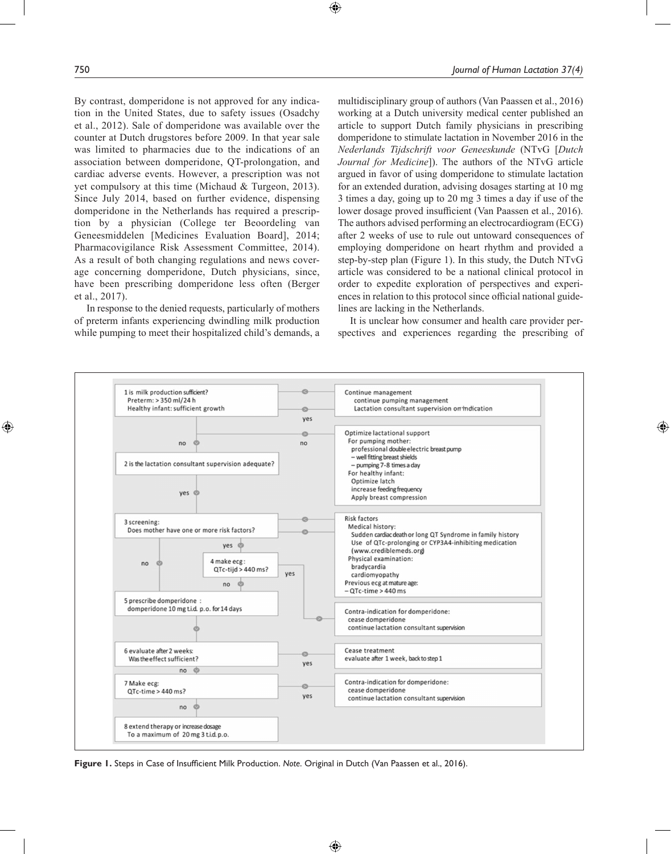By contrast, domperidone is not approved for any indication in the United States, due to safety issues (Osadchy et al., 2012). Sale of domperidone was available over the counter at Dutch drugstores before 2009. In that year sale was limited to pharmacies due to the indications of an association between domperidone, QT-prolongation, and cardiac adverse events. However, a prescription was not yet compulsory at this time (Michaud & Turgeon, 2013). Since July 2014, based on further evidence, dispensing domperidone in the Netherlands has required a prescription by a physician (College ter Beoordeling van Geneesmiddelen [Medicines Evaluation Board], 2014; Pharmacovigilance Risk Assessment Committee, 2014). As a result of both changing regulations and news coverage concerning domperidone, Dutch physicians, since, have been prescribing domperidone less often (Berger et al., 2017).

In response to the denied requests, particularly of mothers of preterm infants experiencing dwindling milk production while pumping to meet their hospitalized child's demands, a multidisciplinary group of authors (Van Paassen et al., 2016) working at a Dutch university medical center published an article to support Dutch family physicians in prescribing domperidone to stimulate lactation in November 2016 in the *Nederlands Tijdschrift voor Geneeskunde* (NTvG [*Dutch Journal for Medicine*]). The authors of the NTvG article argued in favor of using domperidone to stimulate lactation for an extended duration, advising dosages starting at 10 mg 3 times a day, going up to 20 mg 3 times a day if use of the lower dosage proved insufficient (Van Paassen et al., 2016). The authors advised performing an electrocardiogram (ECG) after 2 weeks of use to rule out untoward consequences of employing domperidone on heart rhythm and provided a step-by-step plan (Figure 1). In this study, the Dutch NTvG article was considered to be a national clinical protocol in order to expedite exploration of perspectives and experiences in relation to this protocol since official national guidelines are lacking in the Netherlands.

It is unclear how consumer and health care provider perspectives and experiences regarding the prescribing of

⊕



⊕

**Figure 1.** Steps in Case of Insufficient Milk Production. *Note*. Original in Dutch (Van Paassen et al., 2016).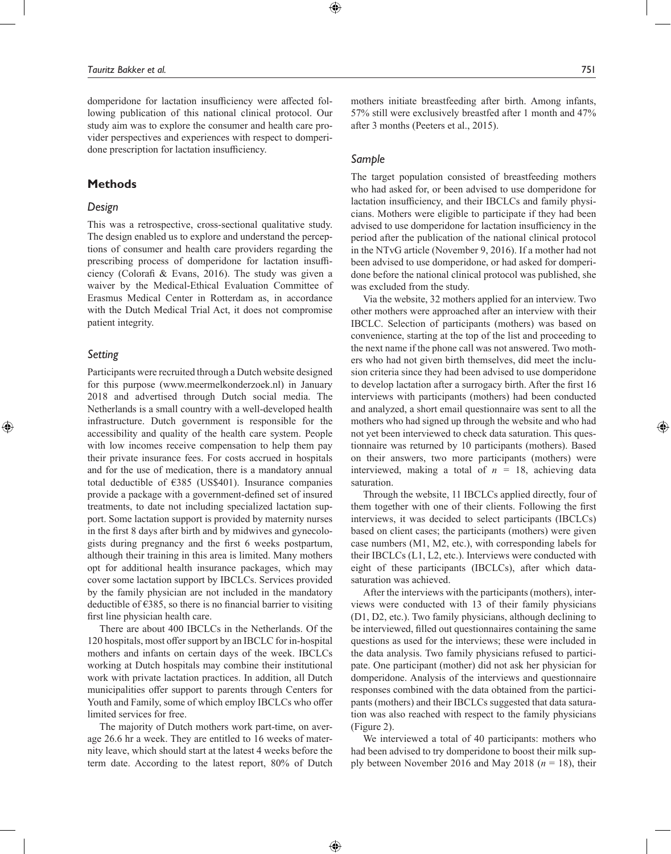domperidone for lactation insufficiency were affected following publication of this national clinical protocol. Our study aim was to explore the consumer and health care provider perspectives and experiences with respect to domperidone prescription for lactation insufficiency.

# **Methods**

#### *Design*

This was a retrospective, cross-sectional qualitative study. The design enabled us to explore and understand the perceptions of consumer and health care providers regarding the prescribing process of domperidone for lactation insufficiency (Colorafi & Evans, 2016). The study was given a waiver by the Medical-Ethical Evaluation Committee of Erasmus Medical Center in Rotterdam as, in accordance with the Dutch Medical Trial Act, it does not compromise patient integrity.

### *Setting*

⊕

Participants were recruited through a Dutch website designed for this purpose (www.meermelkonderzoek.nl) in January 2018 and advertised through Dutch social media. The Netherlands is a small country with a well-developed health infrastructure. Dutch government is responsible for the accessibility and quality of the health care system. People with low incomes receive compensation to help them pay their private insurance fees. For costs accrued in hospitals and for the use of medication, there is a mandatory annual total deductible of  $E385$  (US\$401). Insurance companies provide a package with a government-defined set of insured treatments, to date not including specialized lactation support. Some lactation support is provided by maternity nurses in the first 8 days after birth and by midwives and gynecologists during pregnancy and the first 6 weeks postpartum, although their training in this area is limited. Many mothers opt for additional health insurance packages, which may cover some lactation support by IBCLCs. Services provided by the family physician are not included in the mandatory deductible of  $\epsilon$ 385, so there is no financial barrier to visiting first line physician health care.

There are about 400 IBCLCs in the Netherlands. Of the 120 hospitals, most offer support by an IBCLC for in-hospital mothers and infants on certain days of the week. IBCLCs working at Dutch hospitals may combine their institutional work with private lactation practices. In addition, all Dutch municipalities offer support to parents through Centers for Youth and Family, some of which employ IBCLCs who offer limited services for free.

The majority of Dutch mothers work part-time, on average 26.6 hr a week. They are entitled to 16 weeks of maternity leave, which should start at the latest 4 weeks before the term date. According to the latest report, 80% of Dutch

⊕

⊕

mothers initiate breastfeeding after birth. Among infants, 57% still were exclusively breastfed after 1 month and 47% after 3 months (Peeters et al., 2015).

### *Sample*

⊕

The target population consisted of breastfeeding mothers who had asked for, or been advised to use domperidone for lactation insufficiency, and their IBCLCs and family physicians. Mothers were eligible to participate if they had been advised to use domperidone for lactation insufficiency in the period after the publication of the national clinical protocol in the NTvG article (November 9, 2016). If a mother had not been advised to use domperidone, or had asked for domperidone before the national clinical protocol was published, she was excluded from the study.

Via the website, 32 mothers applied for an interview. Two other mothers were approached after an interview with their IBCLC. Selection of participants (mothers) was based on convenience, starting at the top of the list and proceeding to the next name if the phone call was not answered. Two mothers who had not given birth themselves, did meet the inclusion criteria since they had been advised to use domperidone to develop lactation after a surrogacy birth. After the first 16 interviews with participants (mothers) had been conducted and analyzed, a short email questionnaire was sent to all the mothers who had signed up through the website and who had not yet been interviewed to check data saturation. This questionnaire was returned by 10 participants (mothers). Based on their answers, two more participants (mothers) were interviewed, making a total of  $n = 18$ , achieving data saturation.

Through the website, 11 IBCLCs applied directly, four of them together with one of their clients. Following the first interviews, it was decided to select participants (IBCLCs) based on client cases; the participants (mothers) were given case numbers (M1, M2, etc.), with corresponding labels for their IBCLCs (L1, L2, etc.). Interviews were conducted with eight of these participants (IBCLCs), after which datasaturation was achieved.

After the interviews with the participants (mothers), interviews were conducted with 13 of their family physicians (D1, D2, etc.). Two family physicians, although declining to be interviewed, filled out questionnaires containing the same questions as used for the interviews; these were included in the data analysis. Two family physicians refused to participate. One participant (mother) did not ask her physician for domperidone. Analysis of the interviews and questionnaire responses combined with the data obtained from the participants (mothers) and their IBCLCs suggested that data saturation was also reached with respect to the family physicians (Figure 2).

We interviewed a total of 40 participants: mothers who had been advised to try domperidone to boost their milk supply between November 2016 and May 2018 ( $n = 18$ ), their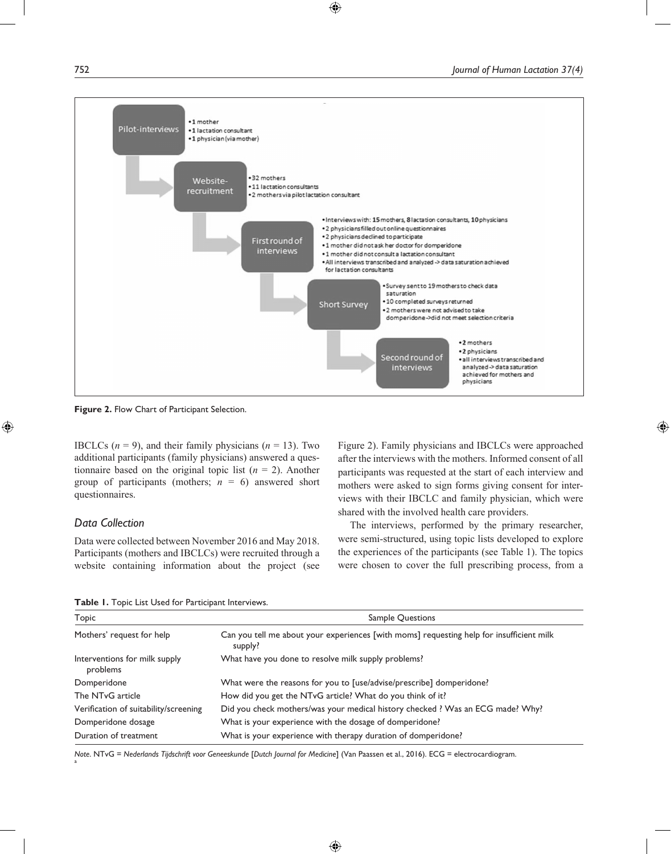

 $\bigoplus$ 

**Figure 2.** Flow Chart of Participant Selection.

IBCLCs  $(n = 9)$ , and their family physicians  $(n = 13)$ . Two additional participants (family physicians) answered a questionnaire based on the original topic list (*n* = 2). Another group of participants (mothers;  $n = 6$ ) answered short questionnaires.

# *Data Collection*

⊕

Data were collected between November 2016 and May 2018. Participants (mothers and IBCLCs) were recruited through a website containing information about the project (see Figure 2). Family physicians and IBCLCs were approached after the interviews with the mothers. Informed consent of all participants was requested at the start of each interview and mothers were asked to sign forms giving consent for interviews with their IBCLC and family physician, which were shared with the involved health care providers.

⊕

The interviews, performed by the primary researcher, were semi-structured, using topic lists developed to explore the experiences of the participants (see Table 1). The topics were chosen to cover the full prescribing process, from a

**Table 1.** Topic List Used for Participant Interviews.

| Topic                                     | <b>Sample Questions</b>                                                                             |  |
|-------------------------------------------|-----------------------------------------------------------------------------------------------------|--|
| Mothers' request for help                 | Can you tell me about your experiences [with moms] requesting help for insufficient milk<br>supply? |  |
| Interventions for milk supply<br>problems | What have you done to resolve milk supply problems?                                                 |  |
| Domperidone                               | What were the reasons for you to [use/advise/prescribe] domperidone?                                |  |
| The NTvG article                          | How did you get the NTvG article? What do you think of it?                                          |  |
| Verification of suitability/screening     | Did you check mothers/was your medical history checked ? Was an ECG made? Why?                      |  |
| Domperidone dosage                        | What is your experience with the dosage of domperidone?                                             |  |
| Duration of treatment                     | What is your experience with therapy duration of domperidone?                                       |  |

⊕

*Note*. NTvG = *Nederlands Tijdschrift voor Geneeskunde* [*Dutch Journal for Medicine*] (Van Paassen et al., 2016). ECG = electrocardiogram. a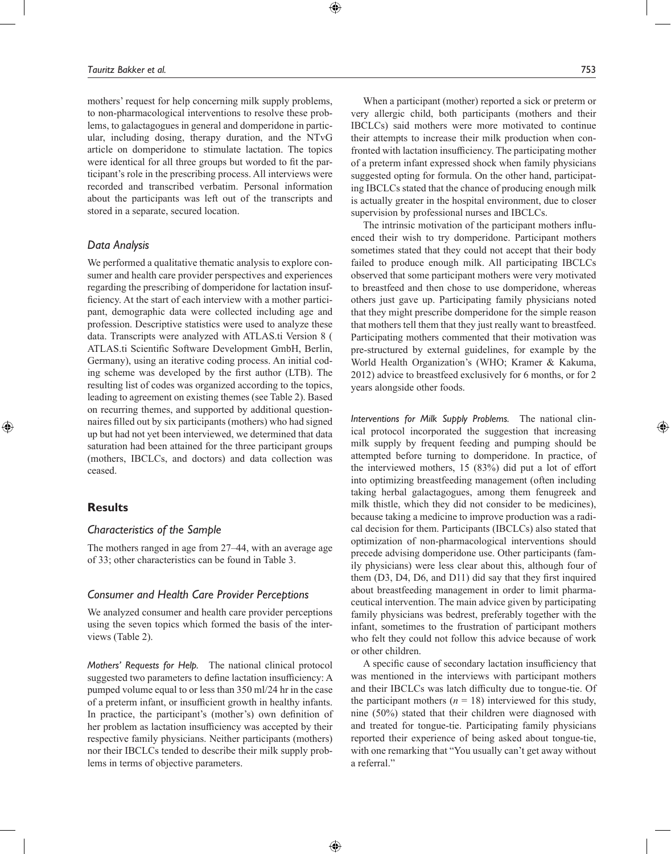mothers' request for help concerning milk supply problems, to non-pharmacological interventions to resolve these problems, to galactagogues in general and domperidone in particular, including dosing, therapy duration, and the NTvG article on domperidone to stimulate lactation. The topics were identical for all three groups but worded to fit the participant's role in the prescribing process. All interviews were recorded and transcribed verbatim. Personal information about the participants was left out of the transcripts and stored in a separate, secured location.

### *Data Analysis*

We performed a qualitative thematic analysis to explore consumer and health care provider perspectives and experiences regarding the prescribing of domperidone for lactation insufficiency. At the start of each interview with a mother participant, demographic data were collected including age and profession. Descriptive statistics were used to analyze these data. Transcripts were analyzed with ATLAS.ti Version 8 ( ATLAS.ti Scientific Software Development GmbH, Berlin, Germany), using an iterative coding process. An initial coding scheme was developed by the first author (LTB). The resulting list of codes was organized according to the topics, leading to agreement on existing themes (see Table 2). Based on recurring themes, and supported by additional questionnaires filled out by six participants (mothers) who had signed up but had not yet been interviewed, we determined that data saturation had been attained for the three participant groups (mothers, IBCLCs, and doctors) and data collection was ceased.

# **Results**

⊕

# *Characteristics of the Sample*

The mothers ranged in age from 27–44, with an average age of 33; other characteristics can be found in Table 3.

# *Consumer and Health Care Provider Perceptions*

We analyzed consumer and health care provider perceptions using the seven topics which formed the basis of the interviews (Table 2).

*Mothers' Requests for Help.* The national clinical protocol suggested two parameters to define lactation insufficiency: A pumped volume equal to or less than 350 ml/24 hr in the case of a preterm infant, or insufficient growth in healthy infants. In practice, the participant's (mother's) own definition of her problem as lactation insufficiency was accepted by their respective family physicians. Neither participants (mothers) nor their IBCLCs tended to describe their milk supply problems in terms of objective parameters.

⊕

⊕

When a participant (mother) reported a sick or preterm or very allergic child, both participants (mothers and their IBCLCs) said mothers were more motivated to continue their attempts to increase their milk production when confronted with lactation insufficiency. The participating mother of a preterm infant expressed shock when family physicians suggested opting for formula. On the other hand, participating IBCLCs stated that the chance of producing enough milk is actually greater in the hospital environment, due to closer supervision by professional nurses and IBCLCs.

The intrinsic motivation of the participant mothers influenced their wish to try domperidone. Participant mothers sometimes stated that they could not accept that their body failed to produce enough milk. All participating IBCLCs observed that some participant mothers were very motivated to breastfeed and then chose to use domperidone, whereas others just gave up. Participating family physicians noted that they might prescribe domperidone for the simple reason that mothers tell them that they just really want to breastfeed. Participating mothers commented that their motivation was pre-structured by external guidelines, for example by the World Health Organization's (WHO; Kramer & Kakuma, 2012) advice to breastfeed exclusively for 6 months, or for 2 years alongside other foods.

*Interventions for Milk Supply Problems.* The national clinical protocol incorporated the suggestion that increasing milk supply by frequent feeding and pumping should be attempted before turning to domperidone. In practice, of the interviewed mothers, 15 (83%) did put a lot of effort into optimizing breastfeeding management (often including taking herbal galactagogues, among them fenugreek and milk thistle, which they did not consider to be medicines), because taking a medicine to improve production was a radical decision for them. Participants (IBCLCs) also stated that optimization of non-pharmacological interventions should precede advising domperidone use. Other participants (family physicians) were less clear about this, although four of them (D3, D4, D6, and D11) did say that they first inquired about breastfeeding management in order to limit pharmaceutical intervention. The main advice given by participating family physicians was bedrest, preferably together with the infant, sometimes to the frustration of participant mothers who felt they could not follow this advice because of work or other children.

A specific cause of secondary lactation insufficiency that was mentioned in the interviews with participant mothers and their IBCLCs was latch difficulty due to tongue-tie. Of the participant mothers  $(n = 18)$  interviewed for this study, nine (50%) stated that their children were diagnosed with and treated for tongue-tie. Participating family physicians reported their experience of being asked about tongue-tie, with one remarking that "You usually can't get away without a referral."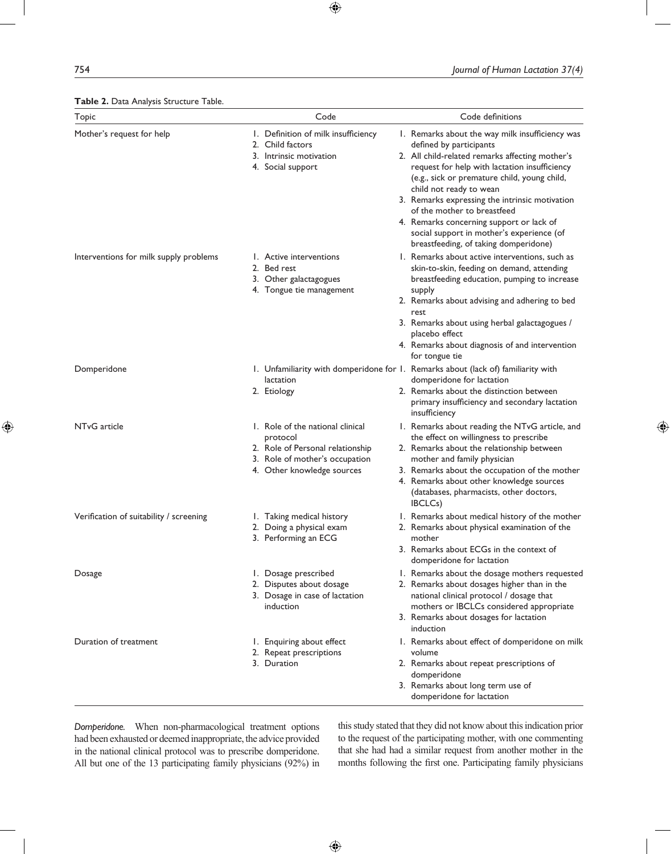$\bigoplus$ 

⊕

| Topic                                   | Code                                                                                                                                             | Code definitions                                                                                                                                                                                                                                                                                                                                                                                                                    |
|-----------------------------------------|--------------------------------------------------------------------------------------------------------------------------------------------------|-------------------------------------------------------------------------------------------------------------------------------------------------------------------------------------------------------------------------------------------------------------------------------------------------------------------------------------------------------------------------------------------------------------------------------------|
| Mother's request for help               | I. Definition of milk insufficiency<br>2. Child factors<br>3. Intrinsic motivation<br>4. Social support                                          | 1. Remarks about the way milk insufficiency was<br>defined by participants<br>2. All child-related remarks affecting mother's<br>request for help with lactation insufficiency<br>(e.g., sick or premature child, young child,<br>child not ready to wean<br>3. Remarks expressing the intrinsic motivation<br>of the mother to breastfeed<br>4. Remarks concerning support or lack of<br>social support in mother's experience (of |
| Interventions for milk supply problems  | 1. Active interventions<br>2. Bed rest<br>3. Other galactagogues<br>4. Tongue tie management                                                     | breastfeeding, of taking domperidone)<br>I. Remarks about active interventions, such as<br>skin-to-skin, feeding on demand, attending<br>breastfeeding education, pumping to increase<br>supply<br>2. Remarks about advising and adhering to bed<br>rest<br>3. Remarks about using herbal galactagogues /<br>placebo effect<br>4. Remarks about diagnosis of and intervention<br>for tongue tie                                     |
| Domperidone                             | lactation<br>2. Etiology                                                                                                                         | 1. Unfamiliarity with domperidone for 1. Remarks about (lack of) familiarity with<br>domperidone for lactation<br>2. Remarks about the distinction between<br>primary insufficiency and secondary lactation<br>insufficiency                                                                                                                                                                                                        |
| NTvG article                            | 1. Role of the national clinical<br>protocol<br>2. Role of Personal relationship<br>3. Role of mother's occupation<br>4. Other knowledge sources | 1. Remarks about reading the NTvG article, and<br>the effect on willingness to prescribe<br>2. Remarks about the relationship between<br>mother and family physician<br>3. Remarks about the occupation of the mother<br>4. Remarks about other knowledge sources<br>(databases, pharmacists, other doctors,<br>IBCLCs)                                                                                                             |
| Verification of suitability / screening | 1. Taking medical history<br>2. Doing a physical exam<br>3. Performing an ECG                                                                    | 1. Remarks about medical history of the mother<br>2. Remarks about physical examination of the<br>mother<br>3. Remarks about ECGs in the context of<br>domperidone for lactation                                                                                                                                                                                                                                                    |
| Dosage                                  | 1. Dosage prescribed<br>2. Disputes about dosage<br>3. Dosage in case of lactation<br>induction                                                  | 1. Remarks about the dosage mothers requested<br>2. Remarks about dosages higher than in the<br>national clinical protocol / dosage that<br>mothers or IBCLCs considered appropriate<br>3. Remarks about dosages for lactation<br>induction                                                                                                                                                                                         |
| Duration of treatment                   | 1. Enquiring about effect<br>2. Repeat prescriptions<br>3. Duration                                                                              | 1. Remarks about effect of domperidone on milk<br>volume<br>2. Remarks about repeat prescriptions of<br>domperidone<br>3. Remarks about long term use of<br>domperidone for lactation                                                                                                                                                                                                                                               |

 $\bigoplus$ 

**Table 2.** Data Analysis Structure Table.

*Domperidone.* When non-pharmacological treatment options had been exhausted or deemed inappropriate, the advice provided in the national clinical protocol was to prescribe domperidone. All but one of the 13 participating family physicians (92%) in this study stated that they did not know about this indication prior to the request of the participating mother, with one commenting that she had had a similar request from another mother in the months following the first one. Participating family physicians

 $\bigoplus$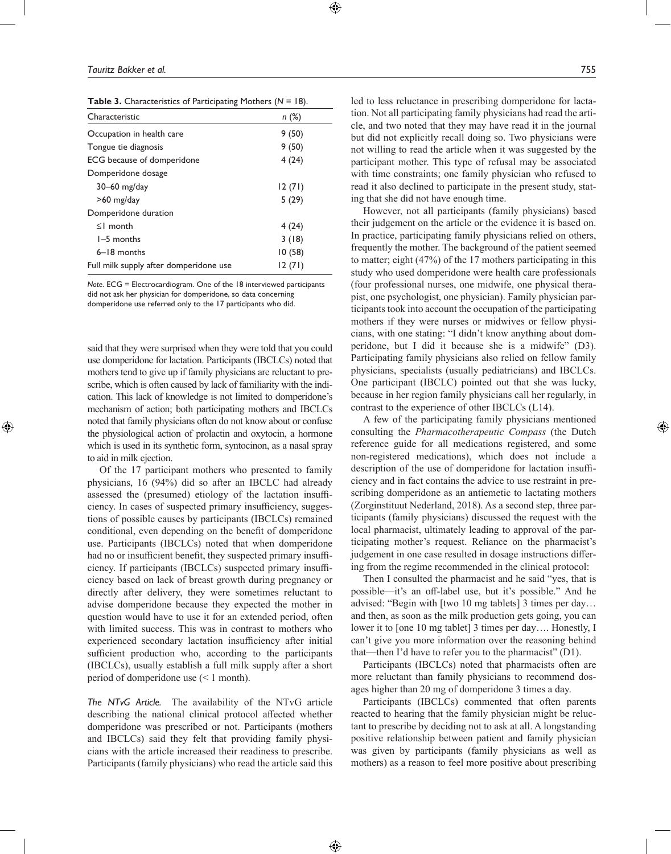| Characteristic                         | n (%)   |
|----------------------------------------|---------|
| Occupation in health care              | 9(50)   |
| Tongue tie diagnosis                   | 9(50)   |
| ECG because of domperidone             | 4(24)   |
| Domperidone dosage                     |         |
| $30 - 60$ mg/day                       | 12(71)  |
| $>60$ mg/day                           | 5(29)   |
| Domperidone duration                   |         |
| $<$ l month                            | 4(24)   |
| $I-5$ months                           | 3(18)   |
| $6-18$ months                          | 10 (58) |
| Full milk supply after domperidone use | 12 (71) |

*Note*. ECG = Electrocardiogram. One of the 18 interviewed participants did not ask her physician for domperidone, so data concerning domperidone use referred only to the 17 participants who did.

said that they were surprised when they were told that you could use domperidone for lactation. Participants (IBCLCs) noted that mothers tend to give up if family physicians are reluctant to prescribe, which is often caused by lack of familiarity with the indication. This lack of knowledge is not limited to domperidone's mechanism of action; both participating mothers and IBCLCs noted that family physicians often do not know about or confuse the physiological action of prolactin and oxytocin, a hormone which is used in its synthetic form, syntocinon, as a nasal spray to aid in milk ejection.

Of the 17 participant mothers who presented to family physicians, 16 (94%) did so after an IBCLC had already assessed the (presumed) etiology of the lactation insufficiency. In cases of suspected primary insufficiency, suggestions of possible causes by participants (IBCLCs) remained conditional, even depending on the benefit of domperidone use. Participants (IBCLCs) noted that when domperidone had no or insufficient benefit, they suspected primary insufficiency. If participants (IBCLCs) suspected primary insufficiency based on lack of breast growth during pregnancy or directly after delivery, they were sometimes reluctant to advise domperidone because they expected the mother in question would have to use it for an extended period, often with limited success. This was in contrast to mothers who experienced secondary lactation insufficiency after initial sufficient production who, according to the participants (IBCLCs), usually establish a full milk supply after a short period of domperidone use (< 1 month).

*The NTvG Article.* The availability of the NTvG article describing the national clinical protocol affected whether domperidone was prescribed or not. Participants (mothers and IBCLCs) said they felt that providing family physicians with the article increased their readiness to prescribe. Participants (family physicians) who read the article said this

⊕

⊕

led to less reluctance in prescribing domperidone for lactation. Not all participating family physicians had read the article, and two noted that they may have read it in the journal but did not explicitly recall doing so. Two physicians were not willing to read the article when it was suggested by the participant mother. This type of refusal may be associated with time constraints; one family physician who refused to read it also declined to participate in the present study, stating that she did not have enough time.

However, not all participants (family physicians) based their judgement on the article or the evidence it is based on. In practice, participating family physicians relied on others, frequently the mother. The background of the patient seemed to matter; eight (47%) of the 17 mothers participating in this study who used domperidone were health care professionals (four professional nurses, one midwife, one physical therapist, one psychologist, one physician). Family physician participants took into account the occupation of the participating mothers if they were nurses or midwives or fellow physicians, with one stating: "I didn't know anything about domperidone, but I did it because she is a midwife" (D3). Participating family physicians also relied on fellow family physicians, specialists (usually pediatricians) and IBCLCs. One participant (IBCLC) pointed out that she was lucky, because in her region family physicians call her regularly, in contrast to the experience of other IBCLCs (L14).

A few of the participating family physicians mentioned consulting the *Pharmacotherapeutic Compass* (the Dutch reference guide for all medications registered, and some non-registered medications), which does not include a description of the use of domperidone for lactation insufficiency and in fact contains the advice to use restraint in prescribing domperidone as an antiemetic to lactating mothers (Zorginstituut Nederland, 2018). As a second step, three participants (family physicians) discussed the request with the local pharmacist, ultimately leading to approval of the participating mother's request. Reliance on the pharmacist's judgement in one case resulted in dosage instructions differing from the regime recommended in the clinical protocol:

Then I consulted the pharmacist and he said "yes, that is possible—it's an off-label use, but it's possible." And he advised: "Begin with [two 10 mg tablets] 3 times per day… and then, as soon as the milk production gets going, you can lower it to [one 10 mg tablet] 3 times per day…. Honestly, I can't give you more information over the reasoning behind that—then I'd have to refer you to the pharmacist" (D1).

Participants (IBCLCs) noted that pharmacists often are more reluctant than family physicians to recommend dosages higher than 20 mg of domperidone 3 times a day.

Participants (IBCLCs) commented that often parents reacted to hearing that the family physician might be reluctant to prescribe by deciding not to ask at all. A longstanding positive relationship between patient and family physician was given by participants (family physicians as well as mothers) as a reason to feel more positive about prescribing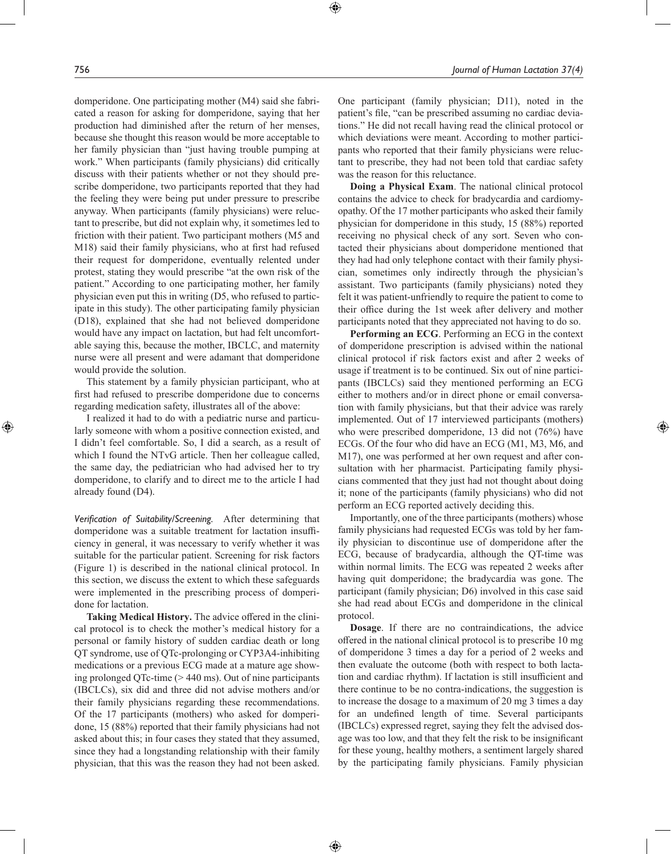domperidone. One participating mother (M4) said she fabricated a reason for asking for domperidone, saying that her production had diminished after the return of her menses, because she thought this reason would be more acceptable to her family physician than "just having trouble pumping at work." When participants (family physicians) did critically discuss with their patients whether or not they should prescribe domperidone, two participants reported that they had the feeling they were being put under pressure to prescribe anyway. When participants (family physicians) were reluctant to prescribe, but did not explain why, it sometimes led to friction with their patient. Two participant mothers (M5 and M18) said their family physicians, who at first had refused their request for domperidone, eventually relented under protest, stating they would prescribe "at the own risk of the patient." According to one participating mother, her family physician even put this in writing (D5, who refused to participate in this study). The other participating family physician (D18), explained that she had not believed domperidone would have any impact on lactation, but had felt uncomfortable saying this, because the mother, IBCLC, and maternity nurse were all present and were adamant that domperidone would provide the solution.

This statement by a family physician participant, who at first had refused to prescribe domperidone due to concerns regarding medication safety, illustrates all of the above:

I realized it had to do with a pediatric nurse and particularly someone with whom a positive connection existed, and I didn't feel comfortable. So, I did a search, as a result of which I found the NTvG article. Then her colleague called, the same day, the pediatrician who had advised her to try domperidone, to clarify and to direct me to the article I had already found (D4).

*Verification of Suitability/Screening.* After determining that domperidone was a suitable treatment for lactation insufficiency in general, it was necessary to verify whether it was suitable for the particular patient. Screening for risk factors (Figure 1) is described in the national clinical protocol. In this section, we discuss the extent to which these safeguards were implemented in the prescribing process of domperidone for lactation.

**Taking Medical History.** The advice offered in the clinical protocol is to check the mother's medical history for a personal or family history of sudden cardiac death or long QT syndrome, use of QTc-prolonging or CYP3A4-inhibiting medications or a previous ECG made at a mature age showing prolonged QTc-time (> 440 ms). Out of nine participants (IBCLCs), six did and three did not advise mothers and/or their family physicians regarding these recommendations. Of the 17 participants (mothers) who asked for domperidone, 15 (88%) reported that their family physicians had not asked about this; in four cases they stated that they assumed, since they had a longstanding relationship with their family physician, that this was the reason they had not been asked.

One participant (family physician; D11), noted in the patient's file, "can be prescribed assuming no cardiac deviations." He did not recall having read the clinical protocol or which deviations were meant. According to mother participants who reported that their family physicians were reluctant to prescribe, they had not been told that cardiac safety was the reason for this reluctance.

⊕

**Doing a Physical Exam**. The national clinical protocol contains the advice to check for bradycardia and cardiomyopathy. Of the 17 mother participants who asked their family physician for domperidone in this study, 15 (88%) reported receiving no physical check of any sort. Seven who contacted their physicians about domperidone mentioned that they had had only telephone contact with their family physician, sometimes only indirectly through the physician's assistant. Two participants (family physicians) noted they felt it was patient-unfriendly to require the patient to come to their office during the 1st week after delivery and mother participants noted that they appreciated not having to do so.

**Performing an ECG**. Performing an ECG in the context of domperidone prescription is advised within the national clinical protocol if risk factors exist and after 2 weeks of usage if treatment is to be continued. Six out of nine participants (IBCLCs) said they mentioned performing an ECG either to mothers and/or in direct phone or email conversation with family physicians, but that their advice was rarely implemented. Out of 17 interviewed participants (mothers) who were prescribed domperidone, 13 did not (76%) have ECGs. Of the four who did have an ECG (M1, M3, M6, and M17), one was performed at her own request and after consultation with her pharmacist. Participating family physicians commented that they just had not thought about doing it; none of the participants (family physicians) who did not perform an ECG reported actively deciding this.

⊕

Importantly, one of the three participants (mothers) whose family physicians had requested ECGs was told by her family physician to discontinue use of domperidone after the ECG, because of bradycardia, although the QT-time was within normal limits. The ECG was repeated 2 weeks after having quit domperidone; the bradycardia was gone. The participant (family physician; D6) involved in this case said she had read about ECGs and domperidone in the clinical protocol.

**Dosage**. If there are no contraindications, the advice offered in the national clinical protocol is to prescribe 10 mg of domperidone 3 times a day for a period of 2 weeks and then evaluate the outcome (both with respect to both lactation and cardiac rhythm). If lactation is still insufficient and there continue to be no contra-indications, the suggestion is to increase the dosage to a maximum of 20 mg 3 times a day for an undefined length of time. Several participants (IBCLCs) expressed regret, saying they felt the advised dosage was too low, and that they felt the risk to be insignificant for these young, healthy mothers, a sentiment largely shared by the participating family physicians. Family physician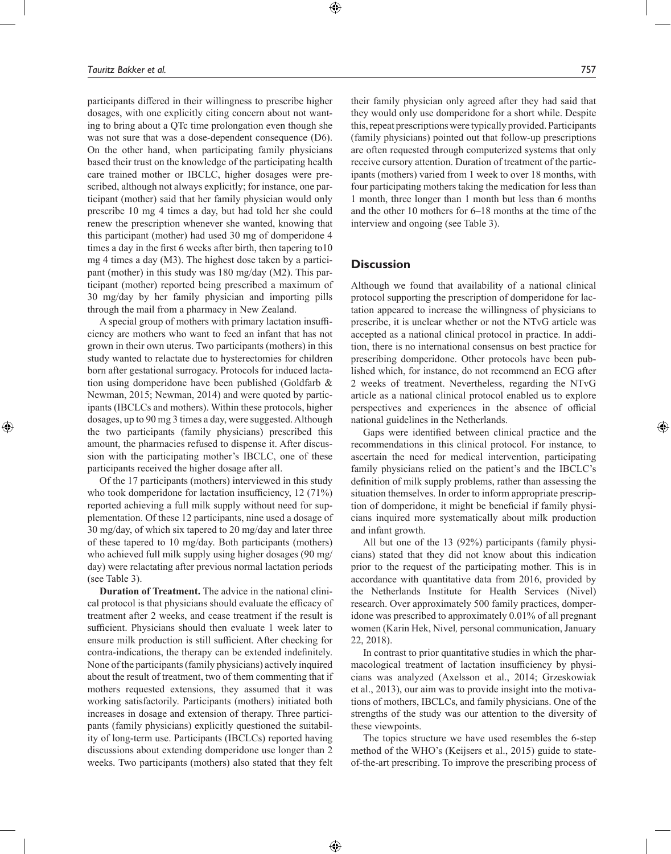participants differed in their willingness to prescribe higher dosages, with one explicitly citing concern about not wanting to bring about a QTc time prolongation even though she was not sure that was a dose-dependent consequence (D6). On the other hand, when participating family physicians based their trust on the knowledge of the participating health care trained mother or IBCLC, higher dosages were prescribed, although not always explicitly; for instance, one participant (mother) said that her family physician would only prescribe 10 mg 4 times a day, but had told her she could renew the prescription whenever she wanted, knowing that this participant (mother) had used 30 mg of domperidone 4 times a day in the first 6 weeks after birth, then tapering to10 mg 4 times a day (M3). The highest dose taken by a participant (mother) in this study was 180 mg/day (M2). This participant (mother) reported being prescribed a maximum of 30 mg/day by her family physician and importing pills through the mail from a pharmacy in New Zealand.

A special group of mothers with primary lactation insufficiency are mothers who want to feed an infant that has not grown in their own uterus. Two participants (mothers) in this study wanted to relactate due to hysterectomies for children born after gestational surrogacy. Protocols for induced lactation using domperidone have been published (Goldfarb & Newman, 2015; Newman, 2014) and were quoted by participants (IBCLCs and mothers). Within these protocols, higher dosages, up to 90 mg 3 times a day, were suggested. Although the two participants (family physicians) prescribed this amount, the pharmacies refused to dispense it. After discussion with the participating mother's IBCLC, one of these participants received the higher dosage after all.

Of the 17 participants (mothers) interviewed in this study who took domperidone for lactation insufficiency, 12 (71%) reported achieving a full milk supply without need for supplementation. Of these 12 participants, nine used a dosage of 30 mg/day, of which six tapered to 20 mg/day and later three of these tapered to 10 mg/day. Both participants (mothers) who achieved full milk supply using higher dosages (90 mg/ day) were relactating after previous normal lactation periods (see Table 3).

**Duration of Treatment.** The advice in the national clinical protocol is that physicians should evaluate the efficacy of treatment after 2 weeks, and cease treatment if the result is sufficient. Physicians should then evaluate 1 week later to ensure milk production is still sufficient. After checking for contra-indications, the therapy can be extended indefinitely. None of the participants (family physicians) actively inquired about the result of treatment, two of them commenting that if mothers requested extensions, they assumed that it was working satisfactorily. Participants (mothers) initiated both increases in dosage and extension of therapy. Three participants (family physicians) explicitly questioned the suitability of long-term use. Participants (IBCLCs) reported having discussions about extending domperidone use longer than 2 weeks. Two participants (mothers) also stated that they felt

⊕

their family physician only agreed after they had said that they would only use domperidone for a short while. Despite this, repeat prescriptions were typically provided. Participants (family physicians) pointed out that follow-up prescriptions are often requested through computerized systems that only receive cursory attention. Duration of treatment of the participants (mothers) varied from 1 week to over 18 months, with four participating mothers taking the medication for less than 1 month, three longer than 1 month but less than 6 months and the other 10 mothers for 6–18 months at the time of the interview and ongoing (see Table 3).

# **Discussion**

⊕

Although we found that availability of a national clinical protocol supporting the prescription of domperidone for lactation appeared to increase the willingness of physicians to prescribe, it is unclear whether or not the NTvG article was accepted as a national clinical protocol in practice. In addition, there is no international consensus on best practice for prescribing domperidone. Other protocols have been published which, for instance, do not recommend an ECG after 2 weeks of treatment. Nevertheless, regarding the NTvG article as a national clinical protocol enabled us to explore perspectives and experiences in the absence of official national guidelines in the Netherlands.

Gaps were identified between clinical practice and the recommendations in this clinical protocol. For instance*,* to ascertain the need for medical intervention, participating family physicians relied on the patient's and the IBCLC's definition of milk supply problems, rather than assessing the situation themselves. In order to inform appropriate prescription of domperidone, it might be beneficial if family physicians inquired more systematically about milk production and infant growth.

All but one of the 13 (92%) participants (family physicians) stated that they did not know about this indication prior to the request of the participating mother. This is in accordance with quantitative data from 2016, provided by the Netherlands Institute for Health Services (Nivel) research. Over approximately 500 family practices, domperidone was prescribed to approximately 0.01% of all pregnant women (Karin Hek, Nivel*,* personal communication, January 22, 2018).

In contrast to prior quantitative studies in which the pharmacological treatment of lactation insufficiency by physicians was analyzed (Axelsson et al., 2014; Grzeskowiak et al., 2013), our aim was to provide insight into the motivations of mothers, IBCLCs, and family physicians. One of the strengths of the study was our attention to the diversity of these viewpoints.

The topics structure we have used resembles the 6-step method of the WHO's (Keijsers et al., 2015) guide to stateof-the-art prescribing. To improve the prescribing process of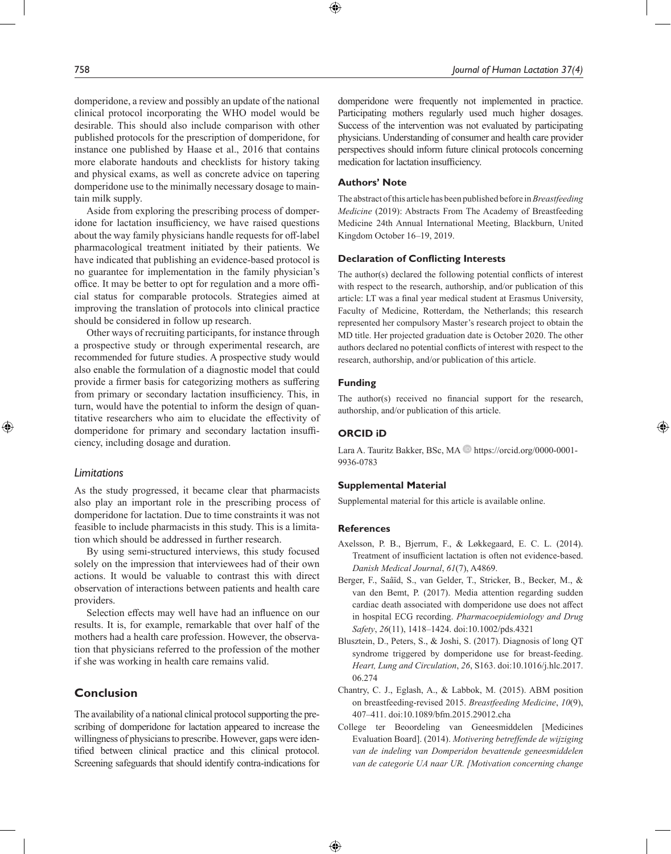domperidone, a review and possibly an update of the national clinical protocol incorporating the WHO model would be desirable. This should also include comparison with other published protocols for the prescription of domperidone, for instance one published by Haase et al., 2016 that contains more elaborate handouts and checklists for history taking and physical exams, as well as concrete advice on tapering domperidone use to the minimally necessary dosage to maintain milk supply.

Aside from exploring the prescribing process of domperidone for lactation insufficiency, we have raised questions about the way family physicians handle requests for off-label pharmacological treatment initiated by their patients. We have indicated that publishing an evidence-based protocol is no guarantee for implementation in the family physician's office. It may be better to opt for regulation and a more official status for comparable protocols. Strategies aimed at improving the translation of protocols into clinical practice should be considered in follow up research.

Other ways of recruiting participants, for instance through a prospective study or through experimental research, are recommended for future studies. A prospective study would also enable the formulation of a diagnostic model that could provide a firmer basis for categorizing mothers as suffering from primary or secondary lactation insufficiency. This, in turn, would have the potential to inform the design of quantitative researchers who aim to elucidate the effectivity of domperidone for primary and secondary lactation insufficiency, including dosage and duration.

# *Limitations*

⊕

As the study progressed, it became clear that pharmacists also play an important role in the prescribing process of domperidone for lactation. Due to time constraints it was not feasible to include pharmacists in this study. This is a limitation which should be addressed in further research.

By using semi-structured interviews, this study focused solely on the impression that interviewees had of their own actions. It would be valuable to contrast this with direct observation of interactions between patients and health care providers.

Selection effects may well have had an influence on our results. It is, for example, remarkable that over half of the mothers had a health care profession. However, the observation that physicians referred to the profession of the mother if she was working in health care remains valid.

# **Conclusion**

The availability of a national clinical protocol supporting the prescribing of domperidone for lactation appeared to increase the willingness of physicians to prescribe. However, gaps were identified between clinical practice and this clinical protocol. Screening safeguards that should identify contra-indications for domperidone were frequently not implemented in practice. Participating mothers regularly used much higher dosages. Success of the intervention was not evaluated by participating physicians. Understanding of consumer and health care provider perspectives should inform future clinical protocols concerning medication for lactation insufficiency.

#### **Authors' Note**

⊕

The abstract of this article has been published before in *Breastfeeding Medicine* (2019): Abstracts From The Academy of Breastfeeding Medicine 24th Annual International Meeting, Blackburn, United Kingdom October 16–19, 2019.

### **Declaration of Conflicting Interests**

The author(s) declared the following potential conflicts of interest with respect to the research, authorship, and/or publication of this article: LT was a final year medical student at Erasmus University, Faculty of Medicine, Rotterdam, the Netherlands; this research represented her compulsory Master's research project to obtain the MD title. Her projected graduation date is October 2020. The other authors declared no potential conflicts of interest with respect to the research, authorship, and/or publication of this article.

#### **Funding**

The author(s) received no financial support for the research, authorship, and/or publication of this article.

⊕

#### **ORCID iD**

Lara A. Tauritz Bakker, BSc, MA https://orcid.org/0000-0001-9936-0783

#### **Supplemental Material**

Supplemental material for this article is available online.

#### **References**

- Axelsson, P. B., Bjerrum, F., & Løkkegaard, E. C. L. (2014). Treatment of insufficient lactation is often not evidence-based. *Danish Medical Journal*, *61*(7), A4869.
- Berger, F., Saâïd, S., van Gelder, T., Stricker, B., Becker, M., & van den Bemt, P. (2017). Media attention regarding sudden cardiac death associated with domperidone use does not affect in hospital ECG recording. *Pharmacoepidemiology and Drug Safety*, *26*(11), 1418–1424. doi:10.1002/pds.4321
- Blusztein, D., Peters, S., & Joshi, S. (2017). Diagnosis of long QT syndrome triggered by domperidone use for breast-feeding. *Heart, Lung and Circulation*, *26*, S163. doi:10.1016/j.hlc.2017. 06.274
- Chantry, C. J., Eglash, A., & Labbok, M. (2015). ABM position on breastfeeding-revised 2015. *Breastfeeding Medicine*, *10*(9), 407–411. doi:10.1089/bfm.2015.29012.cha
- College ter Beoordeling van Geneesmiddelen [Medicines Evaluation Board]. (2014). *Motivering betreffende de wijziging van de indeling van Domperidon bevattende geneesmiddelen van de categorie UA naar UR. [Motivation concerning change*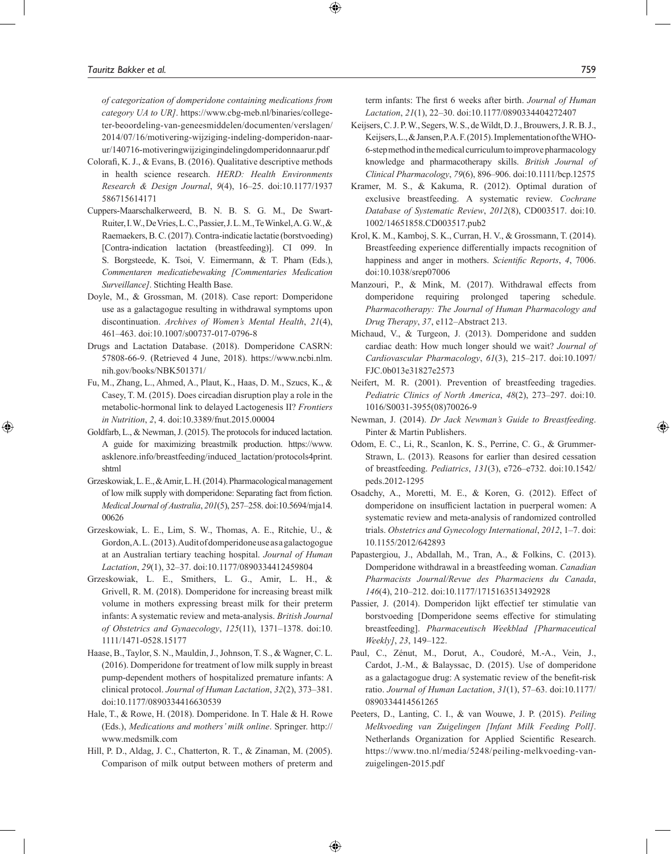*of categorization of domperidone containing medications from category UA to UR]*. https://www.cbg-meb.nl/binaries/collegeter-beoordeling-van-geneesmiddelen/documenten/verslagen/ 2014/07/16/motivering-wijziging-indeling-domperidon-naarur/140716-motiveringwijzigingindelingdomperidonnaarur.pdf

⊕

- Colorafi, K. J., & Evans, B. (2016). Qualitative descriptive methods in health science research. *HERD: Health Environments Research & Design Journal*, *9*(4), 16–25. doi:10.1177/1937 586715614171
- Cuppers-Maarschalkerweerd, B. N. B. S. G. M., De Swart-Ruiter, I. W., De Vries, L. C., Passier, J. L. M., Te Winkel, A. G. W., & Raemaekers, B. C. (2017). Contra-indicatie lactatie (borstvoeding) [Contra-indication lactation (breastfeeding)]. CI 099. In S. Borgsteede, K. Tsoi, V. Eimermann, & T. Pham (Eds.), *Commentaren medicatiebewaking [Commentaries Medication Surveillance]*. Stichting Health Base.
- Doyle, M., & Grossman, M. (2018). Case report: Domperidone use as a galactagogue resulting in withdrawal symptoms upon discontinuation. *Archives of Women's Mental Health*, *21*(4), 461–463. doi:10.1007/s00737-017-0796-8
- Drugs and Lactation Database. (2018). Domperidone CASRN: 57808-66-9. (Retrieved 4 June, 2018). https://www.ncbi.nlm. nih.gov/books/NBK501371/
- Fu, M., Zhang, L., Ahmed, A., Plaut, K., Haas, D. M., Szucs, K., & Casey, T. M. (2015). Does circadian disruption play a role in the metabolic-hormonal link to delayed Lactogenesis II? *Frontiers in Nutrition*, *2*, 4. doi:10.3389/fnut.2015.00004
- Goldfarb, L., & Newman, J. (2015). The protocols for induced lactation. A guide for maximizing breastmilk production. https://www. asklenore.info/breastfeeding/induced\_lactation/protocols4print. shtml
- Grzeskowiak, L. E., & Amir, L. H. (2014). Pharmacological management of low milk supply with domperidone: Separating fact from fiction. *Medical Journal of Australia*, *201*(5), 257–258. doi:10.5694/mja14. 00626
- Grzeskowiak, L. E., Lim, S. W., Thomas, A. E., Ritchie, U., & Gordon, A. L. (2013). Audit of domperidone use as a galactogogue at an Australian tertiary teaching hospital. *Journal of Human Lactation*, *29*(1), 32–37. doi:10.1177/0890334412459804
- Grzeskowiak, L. E., Smithers, L. G., Amir, L. H., & Grivell, R. M. (2018). Domperidone for increasing breast milk volume in mothers expressing breast milk for their preterm infants: A systematic review and meta-analysis. *British Journal of Obstetrics and Gynaecology*, *125*(11), 1371–1378. doi:10. 1111/1471-0528.15177
- Haase, B., Taylor, S. N., Mauldin, J., Johnson, T. S., & Wagner, C. L. (2016). Domperidone for treatment of low milk supply in breast pump-dependent mothers of hospitalized premature infants: A clinical protocol. *Journal of Human Lactation*, *32*(2), 373–381. doi:10.1177/0890334416630539
- Hale, T., & Rowe, H. (2018). Domperidone. In T. Hale & H. Rowe (Eds.), *Medications and mothers' milk online*. Springer. http:// www.medsmilk.com
- Hill, P. D., Aldag, J. C., Chatterton, R. T., & Zinaman, M. (2005). Comparison of milk output between mothers of preterm and

⊕

term infants: The first 6 weeks after birth. *Journal of Human Lactation*, *21*(1), 22–30. doi:10.1177/0890334404272407

- Keijsers, C. J. P. W., Segers, W. S., de Wildt, D. J., Brouwers, J. R. B. J., Keijsers, L., & Jansen, P. A. F. (2015). Implementation of the WHO-6-step method in the medical curriculum to improve pharmacology knowledge and pharmacotherapy skills. *British Journal of Clinical Pharmacology*, *79*(6), 896–906. doi:10.1111/bcp.12575
- Kramer, M. S., & Kakuma, R. (2012). Optimal duration of exclusive breastfeeding. A systematic review. *Cochrane Database of Systematic Review*, *2012*(8), CD003517. doi:10. 1002/14651858.CD003517.pub2
- Krol, K. M., Kamboj, S. K., Curran, H. V., & Grossmann, T. (2014). Breastfeeding experience differentially impacts recognition of happiness and anger in mothers. *Scientific Reports*, *4*, 7006. doi:10.1038/srep07006
- Manzouri, P., & Mink, M. (2017). Withdrawal effects from domperidone requiring prolonged tapering schedule. *Pharmacotherapy: The Journal of Human Pharmacology and Drug Therapy*, *37*, e112–Abstract 213.
- Michaud, V., & Turgeon, J. (2013). Domperidone and sudden cardiac death: How much longer should we wait? *Journal of Cardiovascular Pharmacology*, *61*(3), 215–217. doi:10.1097/ FJC.0b013e31827e2573
- Neifert, M. R. (2001). Prevention of breastfeeding tragedies. *Pediatric Clinics of North America*, *48*(2), 273–297. doi:10. 1016/S0031-3955(08)70026-9
- Newman, J. (2014). *Dr Jack Newman's Guide to Breastfeeding*. Pinter & Martin Publishers.
- Odom, E. C., Li, R., Scanlon, K. S., Perrine, C. G., & Grummer-Strawn, L. (2013). Reasons for earlier than desired cessation of breastfeeding. *Pediatrics*, *131*(3), e726–e732. doi:10.1542/ peds.2012-1295
- Osadchy, A., Moretti, M. E., & Koren, G. (2012). Effect of domperidone on insufficient lactation in puerperal women: A systematic review and meta-analysis of randomized controlled trials. *Obstetrics and Gynecology International*, *2012*, 1–7. doi: 10.1155/2012/642893
- Papastergiou, J., Abdallah, M., Tran, A., & Folkins, C. (2013). Domperidone withdrawal in a breastfeeding woman. *Canadian Pharmacists Journal/Revue des Pharmaciens du Canada*, *146*(4), 210–212. doi:10.1177/1715163513492928
- Passier, J. (2014). Domperidon lijkt effectief ter stimulatie van borstvoeding [Domperidone seems effective for stimulating breastfeeding]. *Pharmaceutisch Weekblad [Pharmaceutical Weekly]*, *23*, 149–122.
- Paul, C., Zénut, M., Dorut, A., Coudoré, M.-A., Vein, J., Cardot, J.-M., & Balayssac, D. (2015). Use of domperidone as a galactagogue drug: A systematic review of the benefit-risk ratio. *Journal of Human Lactation*, *31*(1), 57–63. doi:10.1177/ 0890334414561265
- Peeters, D., Lanting, C. I., & van Wouwe, J. P. (2015). *Peiling Melkvoeding van Zuigelingen [Infant Milk Feeding Poll]*. Netherlands Organization for Applied Scientific Research. https://www.tno.nl/media/5248/peiling-melkvoeding-vanzuigelingen-2015.pdf